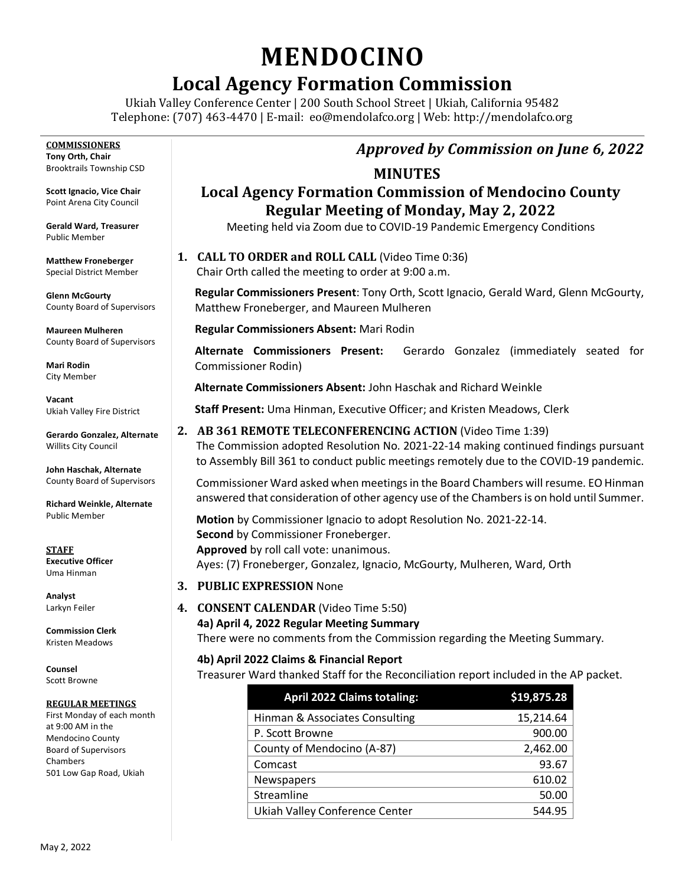# **MENDOCINO**

# **Local Agency Formation Commission**

Ukiah Valley Conference Center | 200 South School Street | Ukiah, California 95482 Telephone: (707) 463-4470 | E-mail: [eo@mendolafco.org](mailto:eo@mendolafco.org) | Web: http://mendolafco.org

**COMMISSIONERS Tony Orth, Chair** Brooktrails Township CSD

**Scott Ignacio, Vice Chair** Point Arena City Council

**Gerald Ward, Treasurer** Public Member

**Matthew Froneberger** Special District Member

**Glenn McGourty** County Board of Supervisors

**Maureen Mulheren** County Board of Supervisors

**Mari Rodin** City Member

**Vacant** Ukiah Valley Fire District

**Gerardo Gonzalez, Alternate** Willits City Council

**John Haschak, Alternate** County Board of Supervisors

**Richard Weinkle, Alternate** Public Member

**STAFF Executive Officer** Uma Hinman

**Analyst** Larkyn Feiler

**Commission Clerk** Kristen Meadows

**Counsel** Scott Browne

#### **REGULAR MEETINGS**

First Monday of each month at 9:00 AM in the Mendocino County Board of Supervisors Chambers 501 Low Gap Road, Ukiah

## *Approved by Commission on June 6, 2022*

#### **MINUTES**

### **Local Agency Formation Commission of Mendocino County Regular Meeting of Monday, May 2, 2022**

Meeting held via Zoom due to COVID-19 Pandemic Emergency Conditions

**1. CALL TO ORDER and ROLL CALL** (Video Time 0:36)

Chair Orth called the meeting to order at 9:00 a.m.

**Regular Commissioners Present**: Tony Orth, Scott Ignacio, Gerald Ward, Glenn McGourty, Matthew Froneberger, and Maureen Mulheren

**Regular Commissioners Absent:** Mari Rodin

**Alternate Commissioners Present:** Gerardo Gonzalez (immediately seated for Commissioner Rodin)

**Alternate Commissioners Absent:** John Haschak and Richard Weinkle

**Staff Present:** Uma Hinman, Executive Officer; and Kristen Meadows, Clerk

**2. AB 361 REMOTE TELECONFERENCING ACTION** (Video Time 1:39) The Commission adopted Resolution No. 2021-22-14 making continued findings pursuant to Assembly Bill 361 to conduct public meetings remotely due to the COVID-19 pandemic.

Commissioner Ward asked when meetings in the Board Chambers will resume. EO Hinman answered that consideration of other agency use of the Chambers is on hold until Summer.

**Motion** by Commissioner Ignacio to adopt Resolution No. 2021-22-14.  **Second** by Commissioner Froneberger.  **Approved** by roll call vote: unanimous. Ayes: (7) Froneberger, Gonzalez, Ignacio, McGourty, Mulheren, Ward, Orth

- **3. PUBLIC EXPRESSION** None
- **4. CONSENT CALENDAR** (Video Time 5:50)
	- **4a) April 4, 2022 Regular Meeting Summary**

There were no comments from the Commission regarding the Meeting Summary.

**4b) April 2022 Claims & Financial Report**

Treasurer Ward thanked Staff for the Reconciliation report included in the AP packet.

| <b>April 2022 Claims totaling:</b> | \$19,875.28 |
|------------------------------------|-------------|
| Hinman & Associates Consulting     | 15,214.64   |
| P. Scott Browne                    | 900.00      |
| County of Mendocino (A-87)         | 2,462.00    |
| Comcast                            | 93.67       |
| Newspapers                         | 610.02      |
| Streamline                         | 50.00       |
| Ukiah Valley Conference Center     | 544.95      |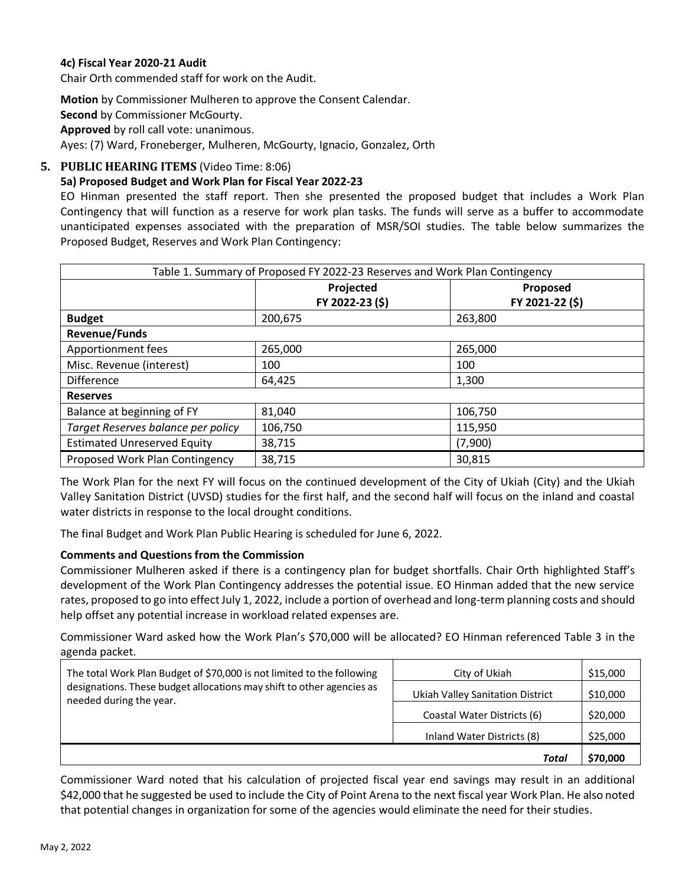#### **4c) Fiscal Year 2020-21 Audit**

Chair Orth commended staff for work on the Audit.

**Motion** by Commissioner Mulheren to approve the Consent Calendar. **Second** by Commissioner McGourty. **Approved** by roll call vote: unanimous. Ayes: (7) Ward, Froneberger, Mulheren, McGourty, Ignacio, Gonzalez, Orth

#### **5. PUBLIC HEARING ITEMS** (Video Time: 8:06)

#### **5a) Proposed Budget and Work Plan for Fiscal Year 2022-23**

EO Hinman presented the staff report. Then she presented the proposed budget that includes a Work Plan Contingency that will function as a reserve for work plan tasks. The funds will serve as a buffer to accommodate unanticipated expenses associated with the preparation of MSR/SOI studies. The table below summarizes the Proposed Budget, Reserves and Work Plan Contingency:

| Table 1. Summary of Proposed FY 2022-23 Reserves and Work Plan Contingency |                 |                 |  |
|----------------------------------------------------------------------------|-----------------|-----------------|--|
|                                                                            | Projected       | Proposed        |  |
|                                                                            | FY 2022-23 (\$) | FY 2021-22 (\$) |  |
| <b>Budget</b>                                                              | 200,675         | 263,800         |  |
| <b>Revenue/Funds</b>                                                       |                 |                 |  |
| Apportionment fees                                                         | 265,000         | 265,000         |  |
| Misc. Revenue (interest)                                                   | 100             | 100             |  |
| <b>Difference</b>                                                          | 64,425          | 1,300           |  |
| <b>Reserves</b>                                                            |                 |                 |  |
| Balance at beginning of FY                                                 | 81,040          | 106,750         |  |
| Target Reserves balance per policy                                         | 106,750         | 115,950         |  |
| <b>Estimated Unreserved Equity</b>                                         | 38,715          | (7,900)         |  |
| Proposed Work Plan Contingency                                             | 38,715          | 30,815          |  |

The Work Plan for the next FY will focus on the continued development of the City of Ukiah (City) and the Ukiah Valley Sanitation District (UVSD) studies for the first half, and the second half will focus on the inland and coastal water districts in response to the local drought conditions.

The final Budget and Work Plan Public Hearing is scheduled for June 6, 2022.

#### **Comments and Questions from the Commission**

Commissioner Mulheren asked if there is a contingency plan for budget shortfalls. Chair Orth highlighted Staff's development of the Work Plan Contingency addresses the potential issue. EO Hinman added that the new service rates, proposed to go into effect July 1, 2022, include a portion of overhead and long-term planning costs and should help offset any potential increase in workload related expenses are.

Commissioner Ward asked how the Work Plan's \$70,000 will be allocated? EO Hinman referenced Table 3 in the agenda packet.

|                                                                                                  | Total                            | \$70,000 |
|--------------------------------------------------------------------------------------------------|----------------------------------|----------|
|                                                                                                  | Inland Water Districts (8)       | \$25,000 |
| designations. These budget allocations may shift to other agencies as<br>needed during the year. | Coastal Water Districts (6)      | \$20,000 |
|                                                                                                  | Ukiah Valley Sanitation District | \$10,000 |
| The total Work Plan Budget of \$70,000 is not limited to the following                           | City of Ukiah                    | \$15,000 |

Commissioner Ward noted that his calculation of projected fiscal year end savings may result in an additional \$42,000 that he suggested be used to include the City of Point Arena to the next fiscal year Work Plan. He also noted that potential changes in organization for some of the agencies would eliminate the need for their studies.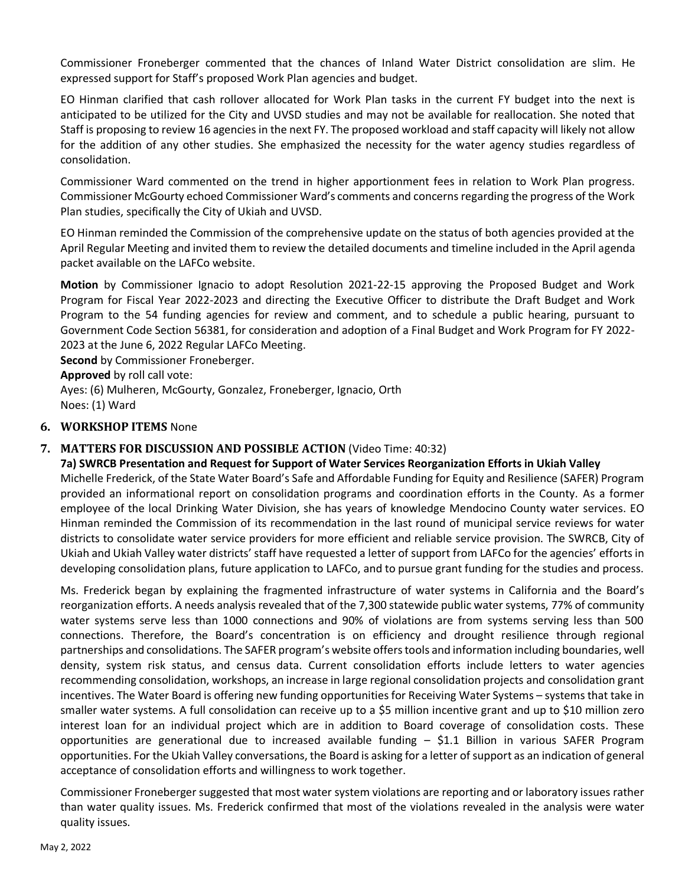Commissioner Froneberger commented that the chances of Inland Water District consolidation are slim. He expressed support for Staff's proposed Work Plan agencies and budget.

EO Hinman clarified that cash rollover allocated for Work Plan tasks in the current FY budget into the next is anticipated to be utilized for the City and UVSD studies and may not be available for reallocation. She noted that Staff is proposing to review 16 agencies in the next FY. The proposed workload and staff capacity will likely not allow for the addition of any other studies. She emphasized the necessity for the water agency studies regardless of consolidation.

Commissioner Ward commented on the trend in higher apportionment fees in relation to Work Plan progress. Commissioner McGourty echoed Commissioner Ward's comments and concerns regarding the progress of the Work Plan studies, specifically the City of Ukiah and UVSD.

EO Hinman reminded the Commission of the comprehensive update on the status of both agencies provided at the April Regular Meeting and invited them to review the detailed documents and timeline included in the April agenda packet available on the LAFCo website.

**Motion** by Commissioner Ignacio to adopt Resolution 2021-22-15 approving the Proposed Budget and Work Program for Fiscal Year 2022-2023 and directing the Executive Officer to distribute the Draft Budget and Work Program to the 54 funding agencies for review and comment, and to schedule a public hearing, pursuant to Government Code Section 56381, for consideration and adoption of a Final Budget and Work Program for FY 2022- 2023 at the June 6, 2022 Regular LAFCo Meeting.

**Second** by Commissioner Froneberger.

**Approved** by roll call vote:

Ayes: (6) Mulheren, McGourty, Gonzalez, Froneberger, Ignacio, Orth Noes: (1) Ward

#### **6. WORKSHOP ITEMS** None

#### **7. MATTERS FOR DISCUSSION AND POSSIBLE ACTION** (Video Time: 40:32)

**7a) SWRCB Presentation and Request for Support of Water Services Reorganization Efforts in Ukiah Valley** Michelle Frederick, of the State Water Board's Safe and Affordable Funding for Equity and Resilience (SAFER) Program provided an informational report on consolidation programs and coordination efforts in the County. As a former employee of the local Drinking Water Division, she has years of knowledge Mendocino County water services. EO Hinman reminded the Commission of its recommendation in the last round of municipal service reviews for water districts to consolidate water service providers for more efficient and reliable service provision. The SWRCB, City of Ukiah and Ukiah Valley water districts' staff have requested a letter of support from LAFCo for the agencies' efforts in developing consolidation plans, future application to LAFCo, and to pursue grant funding for the studies and process.

Ms. Frederick began by explaining the fragmented infrastructure of water systems in California and the Board's reorganization efforts. A needs analysis revealed that of the 7,300 statewide public water systems, 77% of community water systems serve less than 1000 connections and 90% of violations are from systems serving less than 500 connections. Therefore, the Board's concentration is on efficiency and drought resilience through regional partnerships and consolidations. The SAFER program's website offers tools and information including boundaries, well density, system risk status, and census data. Current consolidation efforts include letters to water agencies recommending consolidation, workshops, an increase in large regional consolidation projects and consolidation grant incentives. The Water Board is offering new funding opportunities for Receiving Water Systems – systems that take in smaller water systems. A full consolidation can receive up to a \$5 million incentive grant and up to \$10 million zero interest loan for an individual project which are in addition to Board coverage of consolidation costs. These opportunities are generational due to increased available funding – \$1.1 Billion in various SAFER Program opportunities. For the Ukiah Valley conversations, the Board is asking for a letter of support as an indication of general acceptance of consolidation efforts and willingness to work together.

Commissioner Froneberger suggested that most water system violations are reporting and or laboratory issues rather than water quality issues. Ms. Frederick confirmed that most of the violations revealed in the analysis were water quality issues.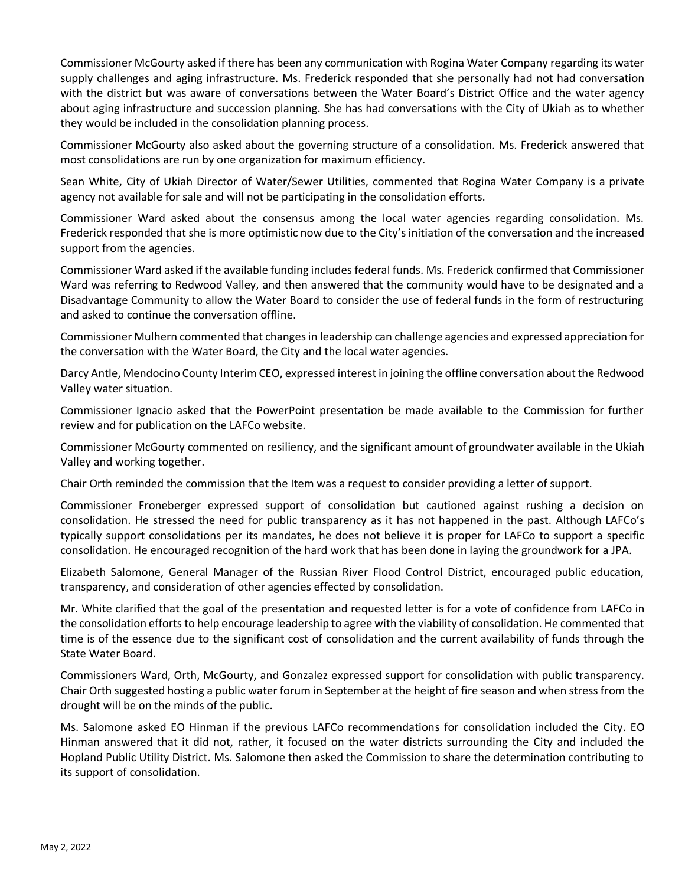Commissioner McGourty asked if there has been any communication with Rogina Water Company regarding its water supply challenges and aging infrastructure. Ms. Frederick responded that she personally had not had conversation with the district but was aware of conversations between the Water Board's District Office and the water agency about aging infrastructure and succession planning. She has had conversations with the City of Ukiah as to whether they would be included in the consolidation planning process.

Commissioner McGourty also asked about the governing structure of a consolidation. Ms. Frederick answered that most consolidations are run by one organization for maximum efficiency.

Sean White, City of Ukiah Director of Water/Sewer Utilities, commented that Rogina Water Company is a private agency not available for sale and will not be participating in the consolidation efforts.

Commissioner Ward asked about the consensus among the local water agencies regarding consolidation. Ms. Frederick responded that she is more optimistic now due to the City's initiation of the conversation and the increased support from the agencies.

Commissioner Ward asked if the available funding includes federal funds. Ms. Frederick confirmed that Commissioner Ward was referring to Redwood Valley, and then answered that the community would have to be designated and a Disadvantage Community to allow the Water Board to consider the use of federal funds in the form of restructuring and asked to continue the conversation offline.

Commissioner Mulhern commented that changes in leadership can challenge agencies and expressed appreciation for the conversation with the Water Board, the City and the local water agencies.

Darcy Antle, Mendocino County Interim CEO, expressed interest in joining the offline conversation about the Redwood Valley water situation.

Commissioner Ignacio asked that the PowerPoint presentation be made available to the Commission for further review and for publication on the LAFCo website.

Commissioner McGourty commented on resiliency, and the significant amount of groundwater available in the Ukiah Valley and working together.

Chair Orth reminded the commission that the Item was a request to consider providing a letter of support.

Commissioner Froneberger expressed support of consolidation but cautioned against rushing a decision on consolidation. He stressed the need for public transparency as it has not happened in the past. Although LAFCo's typically support consolidations per its mandates, he does not believe it is proper for LAFCo to support a specific consolidation. He encouraged recognition of the hard work that has been done in laying the groundwork for a JPA.

Elizabeth Salomone, General Manager of the Russian River Flood Control District, encouraged public education, transparency, and consideration of other agencies effected by consolidation.

Mr. White clarified that the goal of the presentation and requested letter is for a vote of confidence from LAFCo in the consolidation efforts to help encourage leadership to agree with the viability of consolidation. He commented that time is of the essence due to the significant cost of consolidation and the current availability of funds through the State Water Board.

Commissioners Ward, Orth, McGourty, and Gonzalez expressed support for consolidation with public transparency. Chair Orth suggested hosting a public water forum in September at the height of fire season and when stress from the drought will be on the minds of the public.

Ms. Salomone asked EO Hinman if the previous LAFCo recommendations for consolidation included the City. EO Hinman answered that it did not, rather, it focused on the water districts surrounding the City and included the Hopland Public Utility District. Ms. Salomone then asked the Commission to share the determination contributing to its support of consolidation.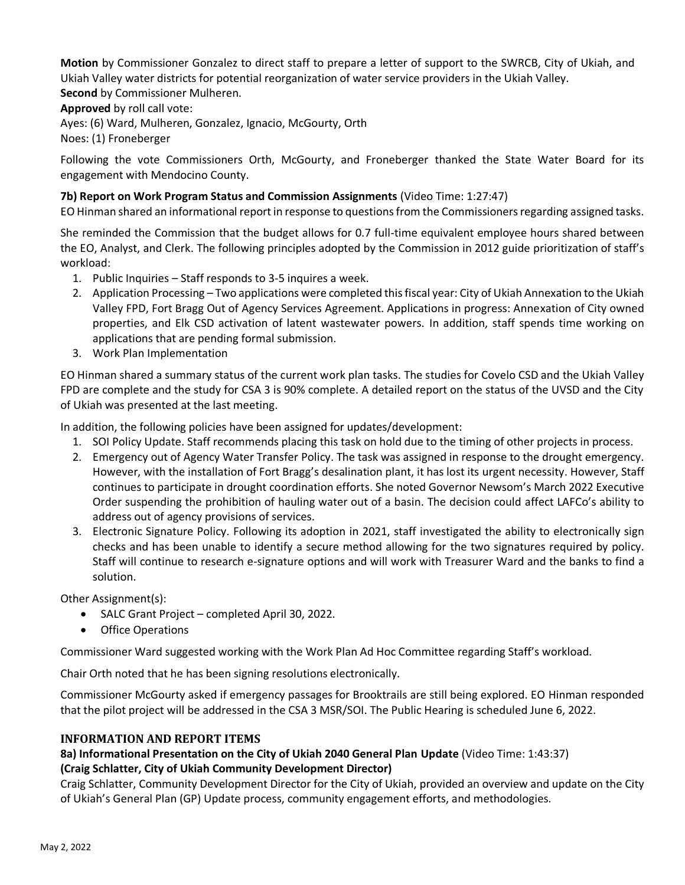**Motion** by Commissioner Gonzalez to direct staff to prepare a letter of support to the SWRCB, City of Ukiah, and Ukiah Valley water districts for potential reorganization of water service providers in the Ukiah Valley.

**Second** by Commissioner Mulheren.

**Approved** by roll call vote:

Ayes: (6) Ward, Mulheren, Gonzalez, Ignacio, McGourty, Orth Noes: (1) Froneberger

Following the vote Commissioners Orth, McGourty, and Froneberger thanked the State Water Board for its engagement with Mendocino County.

#### **7b) Report on Work Program Status and Commission Assignments** (Video Time: 1:27:47)

EO Hinman shared an informational report in response to questions from the Commissioners regarding assigned tasks.

She reminded the Commission that the budget allows for 0.7 full-time equivalent employee hours shared between the EO, Analyst, and Clerk. The following principles adopted by the Commission in 2012 guide prioritization of staff's workload:

- 1. Public Inquiries Staff responds to 3-5 inquires a week.
- 2. Application Processing Two applications were completed this fiscal year: City of Ukiah Annexation to the Ukiah Valley FPD, Fort Bragg Out of Agency Services Agreement. Applications in progress: Annexation of City owned properties, and Elk CSD activation of latent wastewater powers. In addition, staff spends time working on applications that are pending formal submission.
- 3. Work Plan Implementation

EO Hinman shared a summary status of the current work plan tasks. The studies for Covelo CSD and the Ukiah Valley FPD are complete and the study for CSA 3 is 90% complete. A detailed report on the status of the UVSD and the City of Ukiah was presented at the last meeting.

In addition, the following policies have been assigned for updates/development:

- 1. SOI Policy Update. Staff recommends placing this task on hold due to the timing of other projects in process.
- 2. Emergency out of Agency Water Transfer Policy. The task was assigned in response to the drought emergency. However, with the installation of Fort Bragg's desalination plant, it has lost its urgent necessity. However, Staff continues to participate in drought coordination efforts. She noted Governor Newsom's March 2022 Executive Order suspending the prohibition of hauling water out of a basin. The decision could affect LAFCo's ability to address out of agency provisions of services.
- 3. Electronic Signature Policy. Following its adoption in 2021, staff investigated the ability to electronically sign checks and has been unable to identify a secure method allowing for the two signatures required by policy. Staff will continue to research e-signature options and will work with Treasurer Ward and the banks to find a solution.

Other Assignment(s):

- SALC Grant Project completed April 30, 2022.
- Office Operations

Commissioner Ward suggested working with the Work Plan Ad Hoc Committee regarding Staff's workload.

Chair Orth noted that he has been signing resolutions electronically.

Commissioner McGourty asked if emergency passages for Brooktrails are still being explored. EO Hinman responded that the pilot project will be addressed in the CSA 3 MSR/SOI. The Public Hearing is scheduled June 6, 2022.

#### **INFORMATION AND REPORT ITEMS**

#### **8a) Informational Presentation on the City of Ukiah 2040 General Plan Update** (Video Time: 1:43:37) **(Craig Schlatter, City of Ukiah Community Development Director)**

Craig Schlatter, Community Development Director for the City of Ukiah, provided an overview and update on the City of Ukiah's General Plan (GP) Update process, community engagement efforts, and methodologies.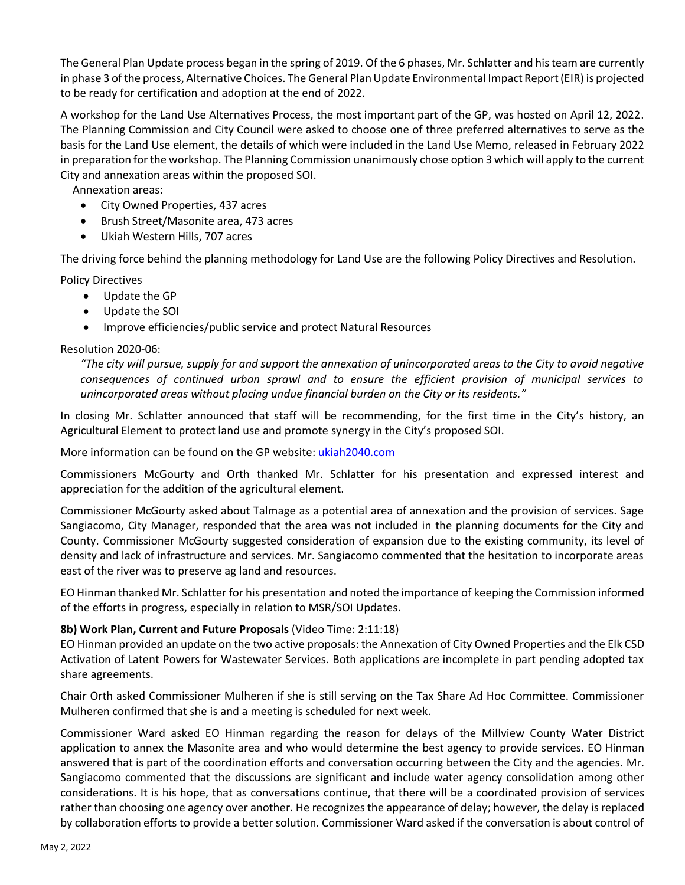The General Plan Update process began in the spring of 2019. Of the 6 phases, Mr. Schlatter and his team are currently in phase 3 of the process, Alternative Choices. The General Plan Update Environmental Impact Report (EIR) is projected to be ready for certification and adoption at the end of 2022.

A workshop for the Land Use Alternatives Process, the most important part of the GP, was hosted on April 12, 2022. The Planning Commission and City Council were asked to choose one of three preferred alternatives to serve as the basis for the Land Use element, the details of which were included in the Land Use Memo, released in February 2022 in preparation for the workshop. The Planning Commission unanimously chose option 3 which will apply to the current City and annexation areas within the proposed SOI.

Annexation areas:

- City Owned Properties, 437 acres
- Brush Street/Masonite area, 473 acres
- Ukiah Western Hills, 707 acres

The driving force behind the planning methodology for Land Use are the following Policy Directives and Resolution.

Policy Directives

- Update the GP
- Update the SOI
- Improve efficiencies/public service and protect Natural Resources

#### Resolution 2020-06:

*"The city will pursue, supply for and support the annexation of unincorporated areas to the City to avoid negative consequences of continued urban sprawl and to ensure the efficient provision of municipal services to unincorporated areas without placing undue financial burden on the City or its residents."* 

In closing Mr. Schlatter announced that staff will be recommending, for the first time in the City's history, an Agricultural Element to protect land use and promote synergy in the City's proposed SOI.

More information can be found on the GP website: [ukiah2040.com](https://ukiah2040.com/)

Commissioners McGourty and Orth thanked Mr. Schlatter for his presentation and expressed interest and appreciation for the addition of the agricultural element.

Commissioner McGourty asked about Talmage as a potential area of annexation and the provision of services. Sage Sangiacomo, City Manager, responded that the area was not included in the planning documents for the City and County. Commissioner McGourty suggested consideration of expansion due to the existing community, its level of density and lack of infrastructure and services. Mr. Sangiacomo commented that the hesitation to incorporate areas east of the river was to preserve ag land and resources.

EO Hinman thanked Mr. Schlatter for his presentation and noted the importance of keeping the Commission informed of the efforts in progress, especially in relation to MSR/SOI Updates.

#### **8b) Work Plan, Current and Future Proposals** (Video Time: 2:11:18)

EO Hinman provided an update on the two active proposals: the Annexation of City Owned Properties and the Elk CSD Activation of Latent Powers for Wastewater Services. Both applications are incomplete in part pending adopted tax share agreements.

Chair Orth asked Commissioner Mulheren if she is still serving on the Tax Share Ad Hoc Committee. Commissioner Mulheren confirmed that she is and a meeting is scheduled for next week.

Commissioner Ward asked EO Hinman regarding the reason for delays of the Millview County Water District application to annex the Masonite area and who would determine the best agency to provide services. EO Hinman answered that is part of the coordination efforts and conversation occurring between the City and the agencies. Mr. Sangiacomo commented that the discussions are significant and include water agency consolidation among other considerations. It is his hope, that as conversations continue, that there will be a coordinated provision of services rather than choosing one agency over another. He recognizes the appearance of delay; however, the delay is replaced by collaboration efforts to provide a better solution. Commissioner Ward asked if the conversation is about control of